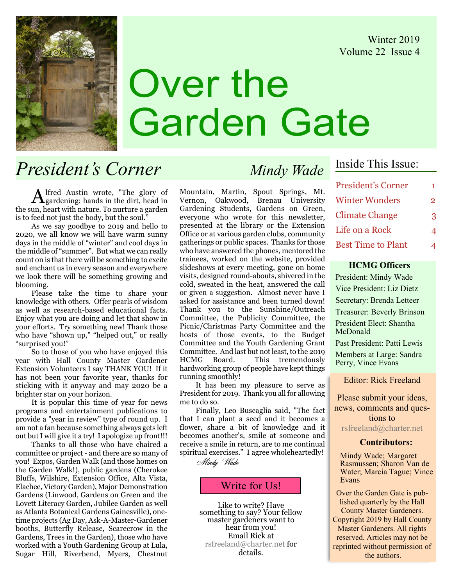Winter 2019 Volume 22 Issue 4



# Over the Garden Gate

# President's Corner Mindy Wade

Alfred Austin wrote, "The glory of gardening: hands in the dirt, head in the sun, heart with nature. To nurture a garden is to feed not just the body, but the soul."

As we say goodbye to 2019 and hello to 2020, we all know we will have warm sunny days in the middle of "winter" and cool days in the middle of "summer". But what we can really count on is that there will be something to excite and enchant us in every season and everywhere we look there will be something growing and blooming.

Please take the time to share your knowledge with others. Offer pearls of wisdom as well as research-based educational facts. Enjoy what you are doing and let that show in your efforts. Try something new! Thank those who have "shown up," "helped out," or really "surprised you!"

So to those of you who have enjoyed this year with Hall County Master Gardener Extension Volunteers I say THANK YOU! If it has not been your favorite year, thanks for sticking with it anyway and may 2020 be a brighter star on your horizon.

It is popular this time of year for news programs and entertainment publications to provide a "year in review" type of round up. I am not a fan because something always gets left out but I will give it a try! I apologize up front!!!

Thanks to all those who have chaired a committee or project - and there are so many of you! Expos, Garden Walk (and those homes on the Garden Walk!), public gardens (Cherokee Bluffs, Wilshire, Extension Office, Alta Vista, Elachee, Victory Garden), Major Demonstration Gardens (Linwood, Gardens on Green and the Lovett Literacy Garden, Jubilee Garden as well as Atlanta Botanical Gardens Gainesville), onetime projects (Ag Day, Ask-A-Master-Gardener booths, Butterfly Release, Scarecrow in the Gardens, Trees in the Garden), those who have worked with a Youth Gardening Group at Lula, Sugar Hill, Riverbend, Myers, Chestnut

Mountain, Martin, Spout Springs, Mt. Vernon, Oakwood, Brenau University Gardening Students, Gardens on Green, everyone who wrote for this newsletter, presented at the library or the Extension Office or at various garden clubs, community gatherings or public spaces. Thanks for those who have answered the phones, mentored the trainees, worked on the website, provided slideshows at every meeting, gone on home visits, designed round-abouts, shivered in the cold, sweated in the heat, answered the call or given a suggestion. Almost never have I asked for assistance and been turned down! Thank you to the Sunshine/Outreach Committee, the Publicity Committee, the Picnic/Christmas Party Committee and the hosts of those events, to the Budget Committee and the Youth Gardening Grant Committee. And last but not least, to the 2019 HCMG Board. This tremendously hardworking group of people have kept things running smoothly!

It has been my pleasure to serve as President for 2019. Thank you all for allowing me to do so.

Finally, Leo Buscaglia said, "The fact that I can plant a seed and it becomes a flower, share a bit of knowledge and it becomes another's, smile at someone and receive a smile in return, are to me continual spiritual exercises." I agree wholeheartedly!

Mindy Wade

## Write for Us!

Like to write? Have<br>something to say? Your fellow master gardeners want to<br>hear from you! Email Rick at rsfreeland@charter.net for details.

## Inside This Issue:

| <b>President's Corner</b> | 1. |
|---------------------------|----|
| <b>Winter Wonders</b>     | 2  |
| <b>Climate Change</b>     | З  |
| Life on a Rock            |    |
| <b>Best Time to Plant</b> |    |

#### HCMG Officers

President: Mindy Wade Vice President: Liz Dietz Secretary: Brenda Letteer Treasurer: Beverly Brinson President Elect: Shantha McDonald Past President: Patti Lewis

Members at Large: Sandra Perry, Vince Evans

Editor: Rick Freeland

Please submit your ideas, news, comments and questions to

rsfreeland@charter.net

#### Contributors:

Mindy Wade; Margaret Rasmussen; Sharon Van de Water; Marcia Tague; Vince Evans

Over the Garden Gate is published quarterly by the Hall County Master Gardeners. Copyright 2019 by Hall County Master Gardeners. All rights reserved. Articles may not be reprinted without permission of the authors.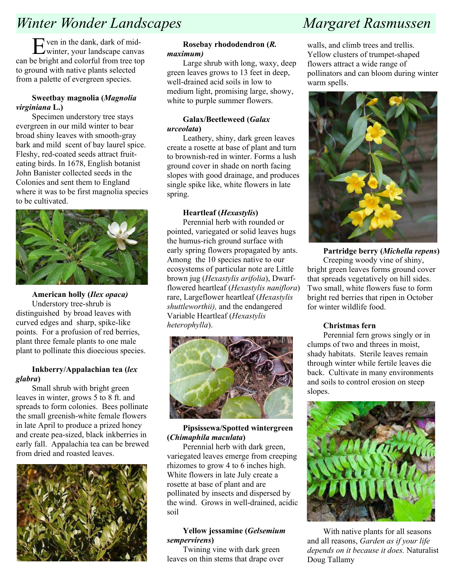# Winter Wonder Landscapes Margaret Rasmussen

Even in the dank, dark of mid-winter, your landscape canvas can be bright and colorful from tree top to ground with native plants selected from a palette of evergreen species.

#### Sweetbay magnolia (Magnolia virginiana L.)

Specimen understory tree stays evergreen in our mild winter to bear broad shiny leaves with smooth-gray bark and mild scent of bay laurel spice. Fleshy, red-coated seeds attract fruiteating birds. In 1678, English botanist John Banister collected seeds in the Colonies and sent them to England where it was to be first magnolia species to be cultivated.



American holly (Ilex opaca) Understory tree-shrub is distinguished by broad leaves with curved edges and sharp, spike-like points. For a profusion of red berries, plant three female plants to one male plant to pollinate this dioecious species.

#### Inkberry/Appalachian tea (lex glabra)

Small shrub with bright green leaves in winter, grows 5 to 8 ft. and spreads to form colonies. Bees pollinate the small greenish-white female flowers in late April to produce a prized honey and create pea-sized, black inkberries in early fall. Appalachia tea can be brewed from dried and roasted leaves.



#### Rosebay rhododendron (R. maximum)

Large shrub with long, waxy, deep green leaves grows to 13 feet in deep, well-drained acid soils in low to medium light, promising large, showy, white to purple summer flowers.

#### Galax/Beetleweed (Galax urceolata)

Leathery, shiny, dark green leaves create a rosette at base of plant and turn to brownish-red in winter. Forms a lush ground cover in shade on north facing slopes with good drainage, and produces single spike like, white flowers in late spring.

#### Heartleaf (Hexastylis)

Perennial herb with rounded or pointed, variegated or solid leaves hugs the humus-rich ground surface with early spring flowers propagated by ants. Among the 10 species native to our ecosystems of particular note are Little brown jug (Hexastylis arifolia), Dwarfflowered heartleaf (Hexastylis naniflora) rare, Largeflower heartleaf (Hexastylis shuttleworthii), and the endangered Variable Heartleaf (Hexastylis heterophylla).



#### Pipsissewa/Spotted wintergreen (Chimaphila maculata)

Perennial herb with dark green, variegated leaves emerge from creeping rhizomes to grow 4 to 6 inches high. White flowers in late July create a rosette at base of plant and are pollinated by insects and dispersed by the wind. Grows in well-drained, acidic soil

#### Yellow jessamine (Gelsemium sempervirens)

Twining vine with dark green leaves on thin stems that drape over

walls, and climb trees and trellis. Yellow clusters of trumpet-shaped flowers attract a wide range of pollinators and can bloom during winter warm spells.



Partridge berry (Michella repens) Creeping woody vine of shiny, bright green leaves forms ground cover that spreads vegetatively on hill sides. Two small, white flowers fuse to form bright red berries that ripen in October for winter wildlife food.

#### Christmas fern

Perennial fern grows singly or in clumps of two and threes in moist, shady habitats. Sterile leaves remain through winter while fertile leaves die back. Cultivate in many environments and soils to control erosion on steep slopes.



With native plants for all seasons and all reasons, Garden as if your life depends on it because it does. Naturalist Doug Tallamy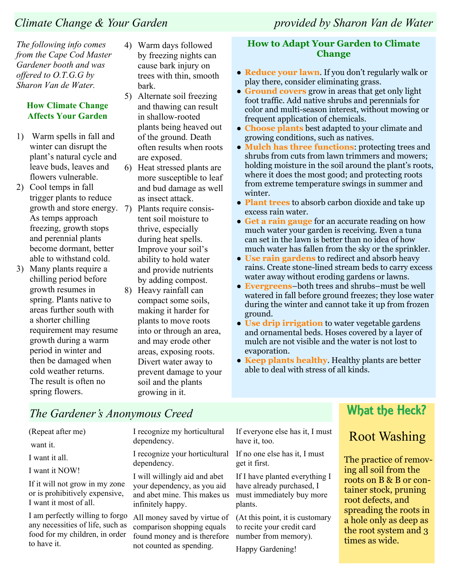The following info comes from the Cape Cod Master Gardener booth and was offered to O.T.G.G by Sharon Van de Water.

### How Climate Change Affects Your Garden

- 1) Warm spells in fall and winter can disrupt the plant's natural cycle and leave buds, leaves and flowers vulnerable.
- 2) Cool temps in fall trigger plants to reduce growth and store energy. As temps approach freezing, growth stops and perennial plants become dormant, better able to withstand cold.
- 3) Many plants require a chilling period before growth resumes in spring. Plants native to areas further south with a shorter chilling requirement may resume growth during a warm period in winter and then be damaged when cold weather returns. The result is often no spring flowers.
- 4) Warm days followed by freezing nights can cause bark injury on trees with thin, smooth bark.
- 5) Alternate soil freezing and thawing can result in shallow-rooted plants being heaved out of the ground. Death often results when roots are exposed.
- 6) Heat stressed plants are more susceptible to leaf and bud damage as well as insect attack.
- 7) Plants require consistent soil moisture to thrive, especially during heat spells. Improve your soil's ability to hold water and provide nutrients by adding compost.
- 8) Heavy rainfall can compact some soils, making it harder for plants to move roots into or through an area, and may erode other areas, exposing roots. Divert water away to prevent damage to your soil and the plants growing in it.

## How to Adapt Your Garden to Climate **Change**

- Reduce your lawn. If you don't regularly walk or play there, consider eliminating grass.
- Ground covers grow in areas that get only light foot traffic. Add native shrubs and perennials for color and multi-season interest, without mowing or frequent application of chemicals.
- Choose plants best adapted to your climate and growing conditions, such as natives.
- Mulch has three functions: protecting trees and shrubs from cuts from lawn trimmers and mowers; holding moisture in the soil around the plant's roots, where it does the most good; and protecting roots from extreme temperature swings in summer and winter.
- Plant trees to absorb carbon dioxide and take up excess rain water.
- Get a rain gauge for an accurate reading on how much water your garden is receiving. Even a tuna can set in the lawn is better than no idea of how much water has fallen from the sky or the sprinkler.
- Use rain gardens to redirect and absorb heavy rains. Create stone-lined stream beds to carry excess water away without eroding gardens or lawns.
- Evergreens-both trees and shrubs-must be well watered in fall before ground freezes; they lose water during the winter and cannot take it up from frozen ground.
- Use drip irrigation to water vegetable gardens and ornamental beds. Hoses covered by a layer of mulch are not visible and the water is not lost to evaporation.
- Keep plants healthy. Healthy plants are better able to deal with stress of all kinds.

## The Gardener's Anonymous Creed

(Repeat after me)

want it.

I want it all.

I want it NOW!

If it will not grow in my zone or is prohibitively expensive, I want it most of all.

I am perfectly willing to forgo any necessities of life, such as food for my children, in order to have it.

I recognize my horticultural dependency.

I recognize your horticultural dependency.

I will willingly aid and abet your dependency, as you aid and abet mine. This makes us infinitely happy.

All money saved by virtue of comparison shopping equals found money and is therefore not counted as spending.

If everyone else has it, I must have it, too.

If no one else has it, I must get it first.

If I have planted everything I have already purchased, I must immediately buy more plants.

(At this point, it is customary to recite your credit card number from memory).

Happy Gardening!

## What the Heck?

## Root Washing

The practice of removing all soil from the roots on B & B or container stock, pruning root defects, and spreading the roots in a hole only as deep as the root system and 3 times as wide.